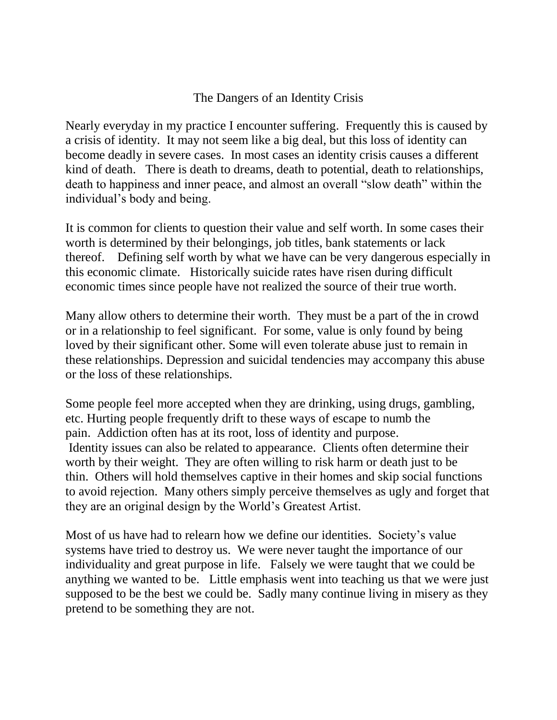## The Dangers of an Identity Crisis

Nearly everyday in my practice I encounter suffering. Frequently this is caused by a crisis of identity. It may not seem like a big deal, but this loss of identity can become deadly in severe cases. In most cases an identity crisis causes a different kind of death. There is death to dreams, death to potential, death to relationships, death to happiness and inner peace, and almost an overall "slow death" within the individual's body and being.

It is common for clients to question their value and self worth. In some cases their worth is determined by their belongings, job titles, bank statements or lack thereof. Defining self worth by what we have can be very dangerous especially in this economic climate. Historically suicide rates have risen during difficult economic times since people have not realized the source of their true worth.

Many allow others to determine their worth. They must be a part of the in crowd or in a relationship to feel significant. For some, value is only found by being loved by their significant other. Some will even tolerate abuse just to remain in these relationships. Depression and suicidal tendencies may accompany this abuse or the loss of these relationships.

Some people feel more accepted when they are drinking, using drugs, gambling, etc. Hurting people frequently drift to these ways of escape to numb the pain. Addiction often has at its root, loss of identity and purpose. Identity issues can also be related to appearance. Clients often determine their worth by their weight. They are often willing to risk harm or death just to be thin. Others will hold themselves captive in their homes and skip social functions to avoid rejection. Many others simply perceive themselves as ugly and forget that they are an original design by the World's Greatest Artist.

Most of us have had to relearn how we define our identities. Society's value systems have tried to destroy us. We were never taught the importance of our individuality and great purpose in life. Falsely we were taught that we could be anything we wanted to be. Little emphasis went into teaching us that we were just supposed to be the best we could be. Sadly many continue living in misery as they pretend to be something they are not.